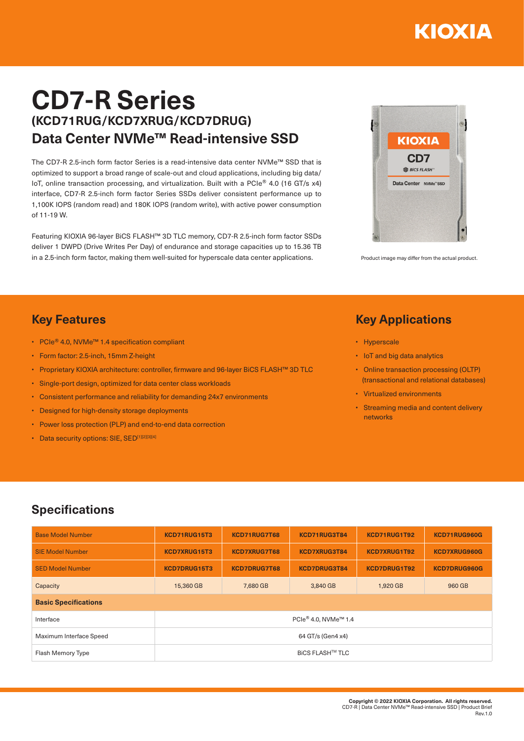# KIOXIA

# **CD7-R Series (KCD71RUG/KCD7XRUG/KCD7DRUG) Data Center NVMe™ Read-intensive SSD**

The CD7-R 2.5-inch form factor Series is a read-intensive data center NVMe™ SSD that is optimized to support a broad range of scale-out and cloud applications, including big data/ IoT, online transaction processing, and virtualization. Built with a PCIe® 4.0 (16 GT/s x4) interface, CD7-R 2.5-inch form factor Series SSDs deliver consistent performance up to 1,100K IOPS (random read) and 180K IOPS (random write), with active power consumption of 11-19 W.

Featuring KIOXIA 96-layer BiCS FLASH™ 3D TLC memory, CD7-R 2.5-inch form factor SSDs deliver 1 DWPD (Drive Writes Per Day) of endurance and storage capacities up to 15.36 TB in a 2.5-inch form factor, making them well-suited for hyperscale data center applications. Product image may differ from the actual product



## **Key Features**

- PCIe® 4.0, NVMe™ 1.4 specification compliant
- Form factor: 2.5-inch, 15mm Z-height
- Proprietary KIOXIA architecture: controller, firmware and 96-layer BiCS FLASH™ 3D TLC
- Single-port design, optimized for data center class workloads
- Consistent performance and reliability for demanding 24x7 environments
- Designed for high-density storage deployments
- Power loss protection (PLP) and end-to-end data correction
- Data security options: SIE, SED[1][2][3][4]

#### **Key Applications**

- Hyperscale
- IoT and big data analytics
- Online transaction processing (OLTP) (transactional and relational databases)
- Virtualized environments
- Streaming media and content delivery networks

## **Specifications**

| <b>Base Model Number</b>    | KCD71RUG15T3                     | KCD71RUG7T68        | KCD71RUG3T84 | KCD71RUG1T92 | KCD71RUG960G        |  |  |  |  |
|-----------------------------|----------------------------------|---------------------|--------------|--------------|---------------------|--|--|--|--|
| <b>SIE Model Number</b>     | KCD7XRUG15T3                     | <b>KCD7XRUG7T68</b> | KCD7XRUG3T84 | KCD7XRUG1T92 | <b>KCD7XRUG960G</b> |  |  |  |  |
| <b>SED Model Number</b>     | KCD7DRUG15T3                     | <b>KCD7DRUG7T68</b> | KCD7DRUG3T84 | KCD7DRUG1T92 | KCD7DRUG960G        |  |  |  |  |
| Capacity                    | 15,360 GB                        | 7,680 GB            | 3,840 GB     | 1,920 GB     | 960 GB              |  |  |  |  |
| <b>Basic Specifications</b> |                                  |                     |              |              |                     |  |  |  |  |
| Interface                   | PCle® 4.0, NVMe <sup>™</sup> 1.4 |                     |              |              |                     |  |  |  |  |
| Maximum Interface Speed     | 64 GT/s (Gen4 x4)                |                     |              |              |                     |  |  |  |  |
| Flash Memory Type           | <b>BICS FLASH™ TLC</b>           |                     |              |              |                     |  |  |  |  |